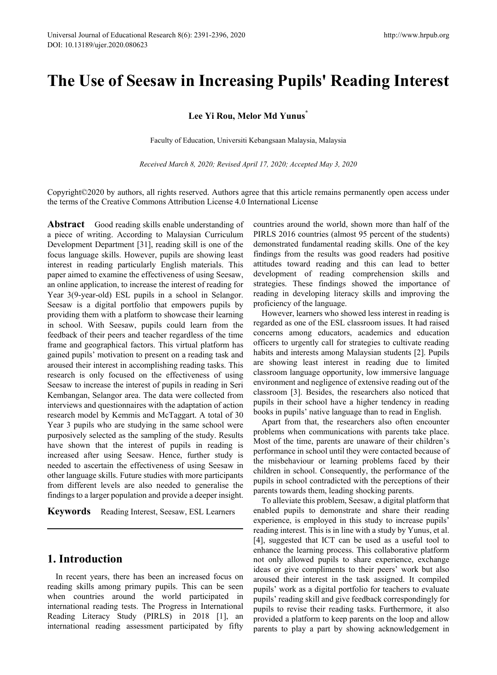# **The Use of Seesaw in Increasing Pupils' Reading Interest**

### **Lee Yi Rou, Melor Md Yunus\***

Faculty of Education, Universiti Kebangsaan Malaysia, Malaysia

*Received March 8, 2020; Revised April 17, 2020; Accepted May 3, 2020*

Copyright©2020 by authors, all rights reserved. Authors agree that this article remains permanently open access under the terms of the Creative Commons Attribution License 4.0 International License

**Abstract** Good reading skills enable understanding of a piece of writing. According to Malaysian Curriculum Development Department [31], reading skill is one of the focus language skills. However, pupils are showing least interest in reading particularly English materials. This paper aimed to examine the effectiveness of using Seesaw, an online application, to increase the interest of reading for Year 3(9-year-old) ESL pupils in a school in Selangor. Seesaw is a digital portfolio that empowers pupils by providing them with a platform to showcase their learning in school. With Seesaw, pupils could learn from the feedback of their peers and teacher regardless of the time frame and geographical factors. This virtual platform has gained pupils' motivation to present on a reading task and aroused their interest in accomplishing reading tasks. This research is only focused on the effectiveness of using Seesaw to increase the interest of pupils in reading in Seri Kembangan, Selangor area. The data were collected from interviews and questionnaires with the adaptation of action research model by Kemmis and McTaggart. A total of 30 Year 3 pupils who are studying in the same school were purposively selected as the sampling of the study. Results have shown that the interest of pupils in reading is increased after using Seesaw. Hence, further study is needed to ascertain the effectiveness of using Seesaw in other language skills. Future studies with more participants from different levels are also needed to generalise the findings to a larger population and provide a deeper insight.

**Keywords** Reading Interest, Seesaw, ESL Learners

# **1. Introduction**

In recent years, there has been an increased focus on reading skills among primary pupils. This can be seen when countries around the world participated in international reading tests. The Progress in International Reading Literacy Study (PIRLS) in 2018 [1], an international reading assessment participated by fifty

countries around the world, shown more than half of the PIRLS 2016 countries (almost 95 percent of the students) demonstrated fundamental reading skills. One of the key findings from the results was good readers had positive attitudes toward reading and this can lead to better development of reading comprehension skills and strategies. These findings showed the importance of reading in developing literacy skills and improving the proficiency of the language.

However, learners who showed less interest in reading is regarded as one of the ESL classroom issues. It had raised concerns among educators, academics and education officers to urgently call for strategies to cultivate reading habits and interests among Malaysian students [2]. Pupils are showing least interest in reading due to limited classroom language opportunity, low immersive language environment and negligence of extensive reading out of the classroom [3]. Besides, the researchers also noticed that pupils in their school have a higher tendency in reading books in pupils' native language than to read in English.

Apart from that, the researchers also often encounter problems when communications with parents take place. Most of the time, parents are unaware of their children's performance in school until they were contacted because of the misbehaviour or learning problems faced by their children in school. Consequently, the performance of the pupils in school contradicted with the perceptions of their parents towards them, leading shocking parents.

To alleviate this problem, Seesaw, a digital platform that enabled pupils to demonstrate and share their reading experience, is employed in this study to increase pupils' reading interest. This is in line with a study by Yunus, et al. [4], suggested that ICT can be used as a useful tool to enhance the learning process. This collaborative platform not only allowed pupils to share experience, exchange ideas or give compliments to their peers' work but also aroused their interest in the task assigned. It compiled pupils' work as a digital portfolio for teachers to evaluate pupils' reading skill and give feedback correspondingly for pupils to revise their reading tasks. Furthermore, it also provided a platform to keep parents on the loop and allow parents to play a part by showing acknowledgement in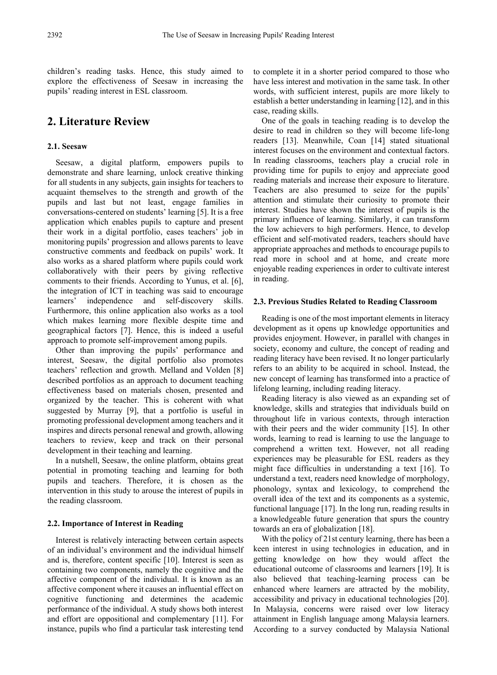children's reading tasks. Hence, this study aimed to explore the effectiveness of Seesaw in increasing the pupils' reading interest in ESL classroom.

# **2. Literature Review**

#### **2.1. Seesaw**

Seesaw, a digital platform, empowers pupils to demonstrate and share learning, unlock creative thinking for all students in any subjects, gain insights for teachers to acquaint themselves to the strength and growth of the pupils and last but not least, engage families in conversations-centered on students' learning [5]. It is a free application which enables pupils to capture and present their work in a digital portfolio, eases teachers' job in monitoring pupils' progression and allows parents to leave constructive comments and feedback on pupils' work. It also works as a shared platform where pupils could work collaboratively with their peers by giving reflective comments to their friends. According to Yunus, et al. [6], the integration of ICT in teaching was said to encourage learners' independence and self-discovery skills. Furthermore, this online application also works as a tool which makes learning more flexible despite time and geographical factors [7]. Hence, this is indeed a useful approach to promote self-improvement among pupils.

Other than improving the pupils' performance and interest, Seesaw, the digital portfolio also promotes teachers' reflection and growth. Melland and Volden [8] described portfolios as an approach to document teaching effectiveness based on materials chosen, presented and organized by the teacher. This is coherent with what suggested by Murray [9], that a portfolio is useful in promoting professional development among teachers and it inspires and directs personal renewal and growth, allowing teachers to review, keep and track on their personal development in their teaching and learning.

In a nutshell, Seesaw, the online platform, obtains great potential in promoting teaching and learning for both pupils and teachers. Therefore, it is chosen as the intervention in this study to arouse the interest of pupils in the reading classroom.

#### **2.2. Importance of Interest in Reading**

Interest is relatively interacting between certain aspects of an individual's environment and the individual himself and is, therefore, content specific [10]. Interest is seen as containing two components, namely the cognitive and the affective component of the individual. It is known as an affective component where it causes an influential effect on cognitive functioning and determines the academic performance of the individual. A study shows both interest and effort are oppositional and complementary [11]. For instance, pupils who find a particular task interesting tend

to complete it in a shorter period compared to those who have less interest and motivation in the same task. In other words, with sufficient interest, pupils are more likely to establish a better understanding in learning [12], and in this case, reading skills.

One of the goals in teaching reading is to develop the desire to read in children so they will become life-long readers [13]. Meanwhile, Coan [14] stated situational interest focuses on the environment and contextual factors. In reading classrooms, teachers play a crucial role in providing time for pupils to enjoy and appreciate good reading materials and increase their exposure to literature. Teachers are also presumed to seize for the pupils' attention and stimulate their curiosity to promote their interest. Studies have shown the interest of pupils is the primary influence of learning. Similarly, it can transform the low achievers to high performers. Hence, to develop efficient and self-motivated readers, teachers should have appropriate approaches and methods to encourage pupils to read more in school and at home, and create more enjoyable reading experiences in order to cultivate interest in reading.

#### **2.3. Previous Studies Related to Reading Classroom**

Reading is one of the most important elements in literacy development as it opens up knowledge opportunities and provides enjoyment. However, in parallel with changes in society, economy and culture, the concept of reading and reading literacy have been revised. It no longer particularly refers to an ability to be acquired in school. Instead, the new concept of learning has transformed into a practice of lifelong learning, including reading literacy.

Reading literacy is also viewed as an expanding set of knowledge, skills and strategies that individuals build on throughout life in various contexts, through interaction with their peers and the wider community [15]. In other words, learning to read is learning to use the language to comprehend a written text. However, not all reading experiences may be pleasurable for ESL readers as they might face difficulties in understanding a text [16]. To understand a text, readers need knowledge of morphology, phonology, syntax and lexicology, to comprehend the overall idea of the text and its components as a systemic, functional language [17]. In the long run, reading results in a knowledgeable future generation that spurs the country towards an era of globalization [18].

With the policy of 21st century learning, there has been a keen interest in using technologies in education, and in getting knowledge on how they would affect the educational outcome of classrooms and learners [19]. It is also believed that teaching-learning process can be enhanced where learners are attracted by the mobility, accessibility and privacy in educational technologies [20]. In Malaysia, concerns were raised over low literacy attainment in English language among Malaysia learners. According to a survey conducted by Malaysia National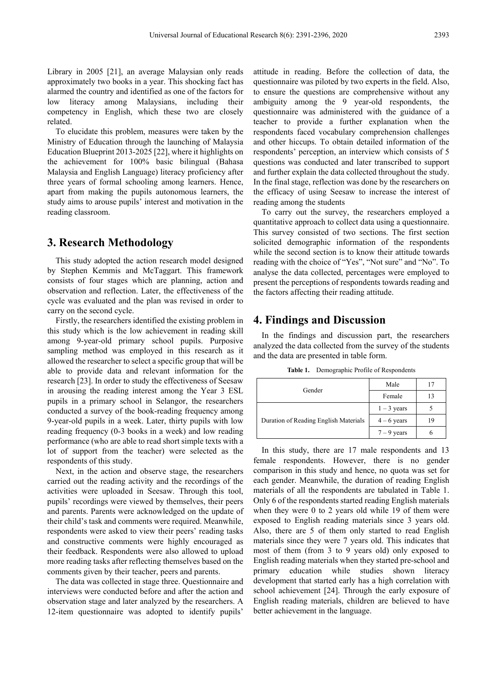Library in 2005 [21], an average Malaysian only reads approximately two books in a year. This shocking fact has alarmed the country and identified as one of the factors for low literacy among Malaysians, including their competency in English, which these two are closely related.

To elucidate this problem, measures were taken by the Ministry of Education through the launching of Malaysia Education Blueprint 2013-2025 [22], where it highlights on the achievement for 100% basic bilingual (Bahasa Malaysia and English Language) literacy proficiency after three years of formal schooling among learners. Hence, apart from making the pupils autonomous learners, the study aims to arouse pupils' interest and motivation in the reading classroom.

### **3. Research Methodology**

This study adopted the action research model designed by Stephen Kemmis and McTaggart. This framework consists of four stages which are planning, action and observation and reflection. Later, the effectiveness of the cycle was evaluated and the plan was revised in order to carry on the second cycle.

Firstly, the researchers identified the existing problem in this study which is the low achievement in reading skill among 9-year-old primary school pupils. Purposive sampling method was employed in this research as it allowed the researcher to select a specific group that will be able to provide data and relevant information for the research [23]. In order to study the effectiveness of Seesaw in arousing the reading interest among the Year 3 ESL pupils in a primary school in Selangor, the researchers conducted a survey of the book-reading frequency among 9-year-old pupils in a week. Later, thirty pupils with low reading frequency (0-3 books in a week) and low reading performance (who are able to read short simple texts with a lot of support from the teacher) were selected as the respondents of this study.

Next, in the action and observe stage, the researchers carried out the reading activity and the recordings of the activities were uploaded in Seesaw. Through this tool, pupils' recordings were viewed by themselves, their peers and parents. Parents were acknowledged on the update of their child's task and comments were required. Meanwhile, respondents were asked to view their peers' reading tasks and constructive comments were highly encouraged as their feedback. Respondents were also allowed to upload more reading tasks after reflecting themselves based on the comments given by their teacher, peers and parents.

The data was collected in stage three. Questionnaire and interviews were conducted before and after the action and observation stage and later analyzed by the researchers. A 12-item questionnaire was adopted to identify pupils' attitude in reading. Before the collection of data, the questionnaire was piloted by two experts in the field. Also, to ensure the questions are comprehensive without any ambiguity among the 9 year-old respondents, the questionnaire was administered with the guidance of a teacher to provide a further explanation when the respondents faced vocabulary comprehension challenges and other hiccups. To obtain detailed information of the respondents' perception, an interview which consists of 5 questions was conducted and later transcribed to support and further explain the data collected throughout the study. In the final stage, reflection was done by the researchers on the efficacy of using Seesaw to increase the interest of reading among the students

To carry out the survey, the researchers employed a quantitative approach to collect data using a questionnaire. This survey consisted of two sections. The first section solicited demographic information of the respondents while the second section is to know their attitude towards reading with the choice of "Yes", "Not sure" and "No". To analyse the data collected, percentages were employed to present the perceptions of respondents towards reading and the factors affecting their reading attitude.

## **4. Findings and Discussion**

In the findings and discussion part, the researchers analyzed the data collected from the survey of the students and the data are presented in table form.

|                                       | Male          | 17 |
|---------------------------------------|---------------|----|
| Gender                                | Female        | 13 |
|                                       | $1 - 3$ years |    |
| Duration of Reading English Materials | $4 - 6$ years | 19 |
|                                       | $7 - 9$ years | h  |

**Table 1.** Demographic Profile of Respondents

In this study, there are 17 male respondents and 13 female respondents. However, there is no gender comparison in this study and hence, no quota was set for each gender. Meanwhile, the duration of reading English materials of all the respondents are tabulated in Table 1. Only 6 of the respondents started reading English materials when they were 0 to 2 years old while 19 of them were exposed to English reading materials since 3 years old. Also, there are 5 of them only started to read English materials since they were 7 years old. This indicates that most of them (from 3 to 9 years old) only exposed to English reading materials when they started pre-school and primary education while studies shown literacy development that started early has a high correlation with school achievement [24]. Through the early exposure of English reading materials, children are believed to have better achievement in the language.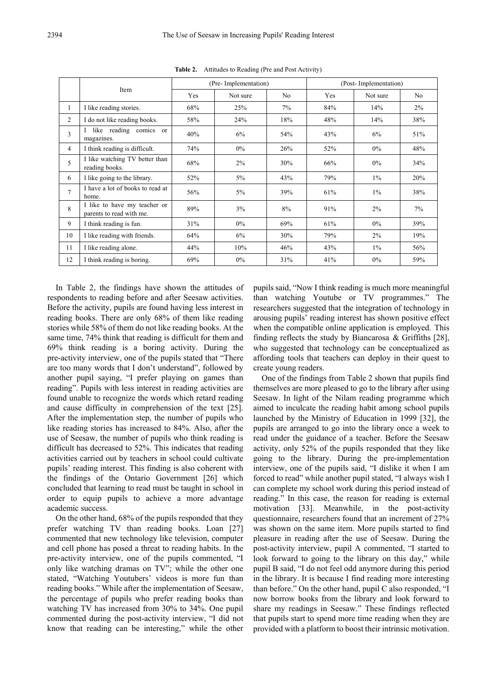|                |                                                          | (Pre-Implementation) |          |                | (Post-Implementation) |          |                |
|----------------|----------------------------------------------------------|----------------------|----------|----------------|-----------------------|----------|----------------|
|                | Item                                                     | Yes                  | Not sure | N <sub>o</sub> | Yes                   | Not sure | N <sub>o</sub> |
| 1              | I like reading stories.                                  | 68%                  | 25%      | 7%             | 84%                   | 14%      | $2\%$          |
| 2              | I do not like reading books.                             | 58%                  | 24%      | 18%            | 48%                   | 14%      | 38%            |
| 3              | like reading comics or<br>magazines.                     | 40%                  | 6%       | 54%            | 43%                   | 6%       | 51%            |
| 4              | I think reading is difficult.                            | 74%                  | $0\%$    | 26%            | 52%                   | $0\%$    | 48%            |
| 5              | I like watching TV better than<br>reading books.         | 68%                  | 2%       | 30%            | 66%                   | $0\%$    | 34%            |
| 6              | I like going to the library.                             | 52%                  | $5\%$    | 43%            | 79%                   | $1\%$    | 20%            |
| $\overline{7}$ | I have a lot of books to read at<br>home.                | 56%                  | $5\%$    | 39%            | 61%                   | $1\%$    | 38%            |
| 8              | I like to have my teacher or<br>parents to read with me. | 89%                  | 3%       | 8%             | 91%                   | 2%       | $7\%$          |
| 9              | I think reading is fun.                                  | 31%                  | $0\%$    | 69%            | 61%                   | $0\%$    | 39%            |
| 10             | I like reading with friends.                             | 64%                  | 6%       | 30%            | 79%                   | 2%       | 19%            |
| 11             | I like reading alone.                                    | 44%                  | 10%      | 46%            | 43%                   | $1\%$    | 56%            |
| 12             | I think reading is boring.                               | 69%                  | $0\%$    | 31%            | 41%                   | $0\%$    | 59%            |

**Table 2.** Attitudes to Reading (Pre and Post Activity)

In Table 2, the findings have shown the attitudes of respondents to reading before and after Seesaw activities. Before the activity, pupils are found having less interest in reading books. There are only 68% of them like reading stories while 58% of them do not like reading books. At the same time, 74% think that reading is difficult for them and 69% think reading is a boring activity. During the pre-activity interview, one of the pupils stated that "There are too many words that I don't understand", followed by another pupil saying, "I prefer playing on games than reading". Pupils with less interest in reading activities are found unable to recognize the words which retard reading and cause difficulty in comprehension of the text [25]. After the implementation step, the number of pupils who like reading stories has increased to 84%. Also, after the use of Seesaw, the number of pupils who think reading is difficult has decreased to 52%. This indicates that reading activities carried out by teachers in school could cultivate pupils' reading interest. This finding is also coherent with the findings of the Ontario Government [26] which concluded that learning to read must be taught in school in order to equip pupils to achieve a more advantage academic success.

On the other hand, 68% of the pupils responded that they prefer watching TV than reading books. Loan [27] commented that new technology like television, computer and cell phone has posed a threat to reading habits. In the pre-activity interview, one of the pupils commented, "I only like watching dramas on TV"; while the other one stated, "Watching Youtubers' videos is more fun than reading books." While after the implementation of Seesaw, the percentage of pupils who prefer reading books than watching TV has increased from 30% to 34%. One pupil commented during the post-activity interview, "I did not know that reading can be interesting," while the other

pupils said, "Now I think reading is much more meaningful than watching Youtube or TV programmes." The researchers suggested that the integration of technology in arousing pupils' reading interest has shown positive effect when the compatible online application is employed. This finding reflects the study by Biancarosa & Griffiths [28], who suggested that technology can be conceptualized as affording tools that teachers can deploy in their quest to create young readers.

One of the findings from Table 2 shown that pupils find themselves are more pleased to go to the library after using Seesaw. In light of the Nilam reading programme which aimed to inculcate the reading habit among school pupils launched by the Ministry of Education in 1999 [32], the pupils are arranged to go into the library once a week to read under the guidance of a teacher. Before the Seesaw activity, only 52% of the pupils responded that they like going to the library. During the pre-implementation interview, one of the pupils said, "I dislike it when I am forced to read" while another pupil stated, "I always wish I can complete my school work during this period instead of reading." In this case, the reason for reading is external motivation [33]. Meanwhile, in the post-activity questionnaire, researchers found that an increment of 27% was shown on the same item. More pupils started to find pleasure in reading after the use of Seesaw. During the post-activity interview, pupil A commented, "I started to look forward to going to the library on this day," while pupil B said, "I do not feel odd anymore during this period in the library. It is because I find reading more interesting than before." On the other hand, pupil C also responded, "I now borrow books from the library and look forward to share my readings in Seesaw." These findings reflected that pupils start to spend more time reading when they are provided with a platform to boost their intrinsic motivation.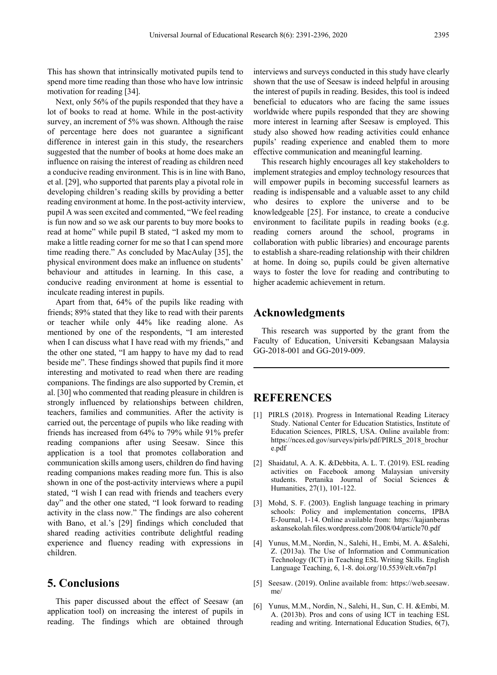This has shown that intrinsically motivated pupils tend to spend more time reading than those who have low intrinsic motivation for reading [34].

Next, only 56% of the pupils responded that they have a lot of books to read at home. While in the post-activity survey, an increment of 5% was shown. Although the raise of percentage here does not guarantee a significant difference in interest gain in this study, the researchers suggested that the number of books at home does make an influence on raising the interest of reading as children need a conducive reading environment. This is in line with Bano, et al. [29], who supported that parents play a pivotal role in developing children's reading skills by providing a better reading environment at home. In the post-activity interview, pupil A was seen excited and commented, "We feel reading is fun now and so we ask our parents to buy more books to read at home" while pupil B stated, "I asked my mom to make a little reading corner for me so that I can spend more time reading there." As concluded by MacAulay [35], the physical environment does make an influence on students' behaviour and attitudes in learning. In this case, a conducive reading environment at home is essential to inculcate reading interest in pupils.

Apart from that, 64% of the pupils like reading with friends; 89% stated that they like to read with their parents or teacher while only 44% like reading alone. As mentioned by one of the respondents, "I am interested when I can discuss what I have read with my friends," and the other one stated, "I am happy to have my dad to read beside me". These findings showed that pupils find it more interesting and motivated to read when there are reading companions. The findings are also supported by Cremin, et al. [30] who commented that reading pleasure in children is strongly influenced by relationships between children, teachers, families and communities. After the activity is carried out, the percentage of pupils who like reading with friends has increased from 64% to 79% while 91% prefer reading companions after using Seesaw. Since this application is a tool that promotes collaboration and communication skills among users, children do find having reading companions makes reading more fun. This is also shown in one of the post-activity interviews where a pupil stated, "I wish I can read with friends and teachers every day" and the other one stated, "I look forward to reading activity in the class now." The findings are also coherent with Bano, et al.'s [29] findings which concluded that shared reading activities contribute delightful reading experience and fluency reading with expressions in children.

### **5. Conclusions**

This paper discussed about the effect of Seesaw (an application tool) on increasing the interest of pupils in reading. The findings which are obtained through interviews and surveys conducted in this study have clearly shown that the use of Seesaw is indeed helpful in arousing the interest of pupils in reading. Besides, this tool is indeed beneficial to educators who are facing the same issues worldwide where pupils responded that they are showing more interest in learning after Seesaw is employed. This study also showed how reading activities could enhance pupils' reading experience and enabled them to more effective communication and meaningful learning.

This research highly encourages all key stakeholders to implement strategies and employ technology resources that will empower pupils in becoming successful learners as reading is indispensable and a valuable asset to any child who desires to explore the universe and to be knowledgeable [25]. For instance, to create a conducive environment to facilitate pupils in reading books (e.g. reading corners around the school, programs in collaboration with public libraries) and encourage parents to establish a share-reading relationship with their children at home. In doing so, pupils could be given alternative ways to foster the love for reading and contributing to higher academic achievement in return.

### **Acknowledgments**

This research was supported by the grant from the Faculty of Education, Universiti Kebangsaan Malaysia GG-2018-001 and GG-2019-009.

# **REFERENCES**

- [1] PIRLS (2018). Progress in International Reading Literacy Study. National Center for Education Statistics, Institute of Education Sciences, PIRLS, USA. Online available from: https://nces.ed.gov/surveys/pirls/pdf/PIRLS\_2018\_brochur e.pdf
- [2] Shaidatul, A. A. K. &Debbita, A. L. T. (2019). ESL reading activities on Facebook among Malaysian university students. Pertanika Journal of Social Sciences & Humanities, 27(1), 101-122.
- [3] Mohd, S. F. (2003). English language teaching in primary schools: Policy and implementation concerns, IPBA E-Journal, 1-14. Online available from[:](https://kajianberasaskansekolah.files.wordpress.com/2008/04/article70.pdf) [https://kajianberas](https://kajianberasaskansekolah.files.wordpress.com/2008/04/article70.pdf) [askansekolah.files.wordpress.com/2008/04/article70.pdf](https://kajianberasaskansekolah.files.wordpress.com/2008/04/article70.pdf)
- [4] Yunus, M.M., Nordin, N., Salehi, H., Embi, M. A. &Salehi, Z. (2013a). The Use of Information and Communication Technology (ICT) in Teaching ESL Writing Skills. English Language Teaching, 6, 1-8. doi.org/10.5539/elt.v6n7p1
- [5] Seesaw. (2019). Online available from[:](https://web.seesaw.me/) [https://web.seesaw.](https://web.seesaw.me/) [me/](https://web.seesaw.me/)
- [6] Yunus, M.M., Nordin, N., Salehi, H., Sun, C. H. &Embi, M. A. (2013b). Pros and cons of using ICT in teaching ESL reading and writing. International Education Studies, 6(7),